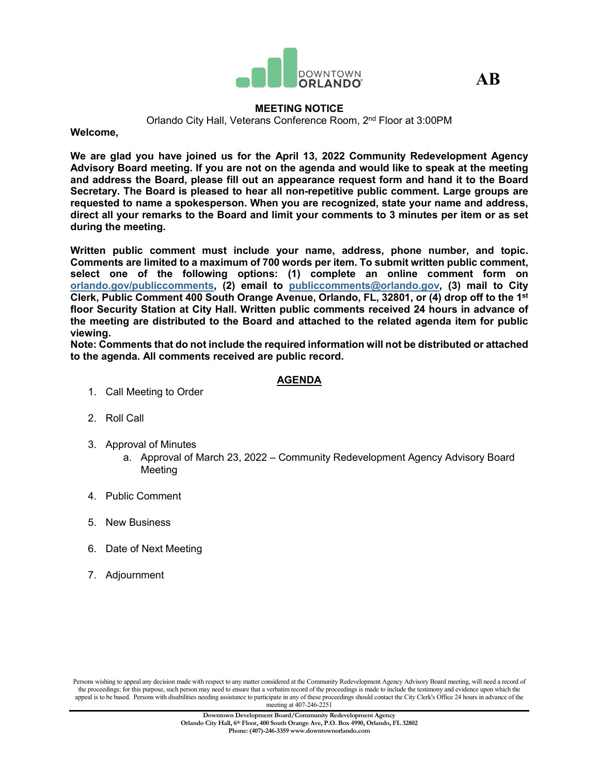

**AB**

### **MEETING NOTICE**

Orlando City Hall, Veterans Conference Room, 2nd Floor at 3:00PM

**Welcome,**

**We are glad you have joined us for the April 13, 2022 Community Redevelopment Agency Advisory Board meeting. If you are not on the agenda and would like to speak at the meeting and address the Board, please fill out an appearance request form and hand it to the Board Secretary. The Board is pleased to hear all non-repetitive public comment. Large groups are requested to name a spokesperson. When you are recognized, state your name and address, direct all your remarks to the Board and limit your comments to 3 minutes per item or as set during the meeting.**

**Written public comment must include your name, address, phone number, and topic. Comments are limited to a maximum of 700 words per item. To submit written public comment, select one of the following options: (1) complete an online comment form on [orlando.gov/publiccomments,](http://www.orlando.gov/publiccomments) (2) email to [publiccomments@orlando.gov,](mailto:publiccomments@orlando.gov) (3) mail to City Clerk, Public Comment 400 South Orange Avenue, Orlando, FL, 32801, or (4) drop off to the 1st floor Security Station at City Hall. Written public comments received 24 hours in advance of the meeting are distributed to the Board and attached to the related agenda item for public viewing.** 

**Note: Comments that do not include the required information will not be distributed or attached to the agenda. All comments received are public record.**

# **AGENDA**

- 1. Call Meeting to Order
- 2. Roll Call
- 3. Approval of Minutes
	- a. Approval of March 23, 2022 Community Redevelopment Agency Advisory Board **Meeting**
- 4. Public Comment
- 5. New Business
- 6. Date of Next Meeting
- 7. Adjournment

Persons wishing to appeal any decision made with respect to any matter considered at the Community Redevelopment Agency Advisory Board meeting, will need a record of the proceedings; for this purpose, such person may need to ensure that a verbatim record of the proceedings is made to include the testimony and evidence upon which the appeal is to be based. Persons with disabilities needing assistance to participate in any of these proceedings should contact the City Clerk's Office 24 hours in advance of the meeting at 407-246-2251